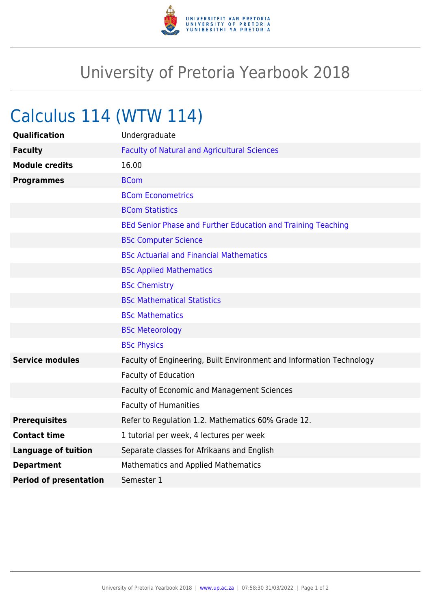

## University of Pretoria Yearbook 2018

## Calculus 114 (WTW 114)

| <b>Qualification</b>          | Undergraduate                                                        |
|-------------------------------|----------------------------------------------------------------------|
| <b>Faculty</b>                | <b>Faculty of Natural and Agricultural Sciences</b>                  |
| <b>Module credits</b>         | 16.00                                                                |
| <b>Programmes</b>             | <b>BCom</b>                                                          |
|                               | <b>BCom Econometrics</b>                                             |
|                               | <b>BCom Statistics</b>                                               |
|                               | BEd Senior Phase and Further Education and Training Teaching         |
|                               | <b>BSc Computer Science</b>                                          |
|                               | <b>BSc Actuarial and Financial Mathematics</b>                       |
|                               | <b>BSc Applied Mathematics</b>                                       |
|                               | <b>BSc Chemistry</b>                                                 |
|                               | <b>BSc Mathematical Statistics</b>                                   |
|                               | <b>BSc Mathematics</b>                                               |
|                               | <b>BSc Meteorology</b>                                               |
|                               | <b>BSc Physics</b>                                                   |
| <b>Service modules</b>        | Faculty of Engineering, Built Environment and Information Technology |
|                               | <b>Faculty of Education</b>                                          |
|                               | Faculty of Economic and Management Sciences                          |
|                               | <b>Faculty of Humanities</b>                                         |
| <b>Prerequisites</b>          | Refer to Regulation 1.2. Mathematics 60% Grade 12.                   |
| <b>Contact time</b>           | 1 tutorial per week, 4 lectures per week                             |
| <b>Language of tuition</b>    | Separate classes for Afrikaans and English                           |
| <b>Department</b>             | Mathematics and Applied Mathematics                                  |
| <b>Period of presentation</b> | Semester 1                                                           |